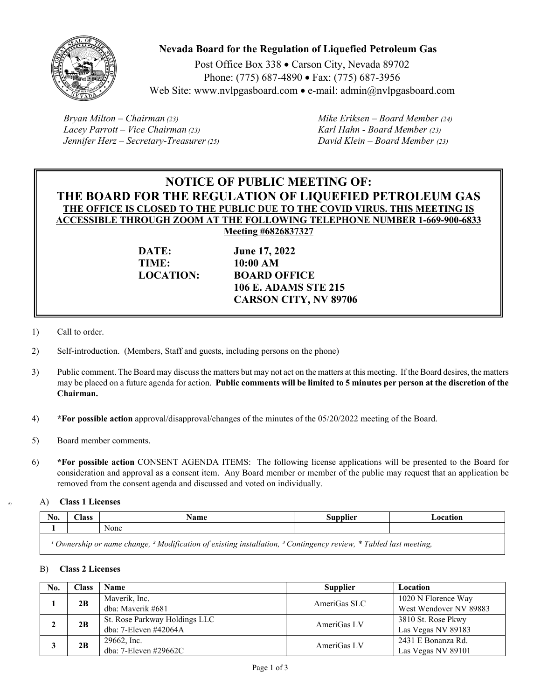

# **Nevada Board for the Regulation of Liquefied Petroleum Gas**

Post Office Box 338 · Carson City, Nevada 89702 Phone: (775) 687-4890 • Fax: (775) 687-3956 Web Site: www.nvlpgasboard.com • e-mail: admin $(\partial n)$  upgasboard.com

*Bryan Milton – Chairman (23) Mike Eriksen – Board Member (24) Lacey Parrott – Vice Chairman (23) Karl Hahn - Board Member (23) Jennifer Herz – Secretary-Treasurer (25) David Klein – Board Member (23)* 

# **NOTICE OF PUBLIC MEETING OF: THE BOARD FOR THE REGULATION OF LIQUEFIED PETROLEUM GAS THE OFFICE IS CLOSED TO THE PUBLIC DUE TO THE COVID VIRUS. THIS MEETING IS ACCESSIBLE THROUGH ZOOM AT THE FOLLOWING TELEPHONE NUMBER 1-669-900-6833 Meeting #6826837327**

**TIME: 10:00 AM** 

**DATE: June 17, 2022 LOCATION: BOARD OFFICE 106 E. ADAMS STE 215 CARSON CITY, NV 89706** 

- 1) Call to order.
- 2) Self-introduction. (Members, Staff and guests, including persons on the phone)
- 3) Public comment. The Board may discuss the matters but may not act on the matters at this meeting. If the Board desires, the matters may be placed on a future agenda for action. **Public comments will be limited to 5 minutes per person at the discretion of the Chairman.**
- 4) **\*For possible action** approval/disapproval/changes of the minutes of the 05/20/2022 meeting of the Board.
- 5) Board member comments.
- 6) **\*For possible action** CONSENT AGENDA ITEMS: The following license applications will be presented to the Board for consideration and approval as a consent item. Any Board member or member of the public may request that an application be removed from the consent agenda and discussed and voted on individually.

A) A) **Class 1 Licenses** 

| No.                                                                                                                                   | $\bigcap$ ass | Name | Supplier | Location |
|---------------------------------------------------------------------------------------------------------------------------------------|---------------|------|----------|----------|
|                                                                                                                                       |               | None |          |          |
| Ownership or name change, <sup>2</sup> Modification of existing installation, <sup>3</sup> Contingency review, * Tabled last meeting, |               |      |          |          |

### B) **Class 2 Licenses**

| No. | Class | <b>Name</b>                   | <b>Supplier</b> | Location               |
|-----|-------|-------------------------------|-----------------|------------------------|
|     | 2B    | Maverik, Inc.                 | AmeriGas SLC    | 1020 N Florence Way    |
|     |       | dba: Maverik #681             |                 | West Wendover NV 89883 |
|     | 2B    | St. Rose Parkway Holdings LLC | AmeriGas LV     | 3810 St. Rose Pkwy     |
|     |       | dba: 7-Eleven #42064A         |                 | Las Vegas NV 89183     |
|     | 2B    | 29662, Inc.                   | AmeriGas LV     | 2431 E Bonanza Rd.     |
|     |       | dba: 7-Eleven #29662C         |                 | Las Vegas NV 89101     |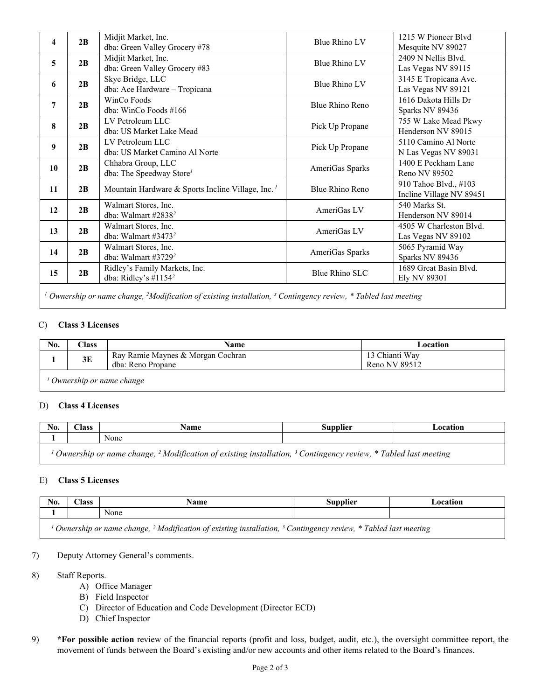| 4                                                                                                                                   | 2B                                                            | Midjit Market, Inc.                                                 | Blue Rhino LV                                              | 1215 W Pioneer Blvd      |
|-------------------------------------------------------------------------------------------------------------------------------------|---------------------------------------------------------------|---------------------------------------------------------------------|------------------------------------------------------------|--------------------------|
|                                                                                                                                     |                                                               | dba: Green Valley Grocery #78                                       |                                                            | Mesquite NV 89027        |
| 5                                                                                                                                   | 2B                                                            | Midjit Market, Inc.                                                 | Blue Rhino LV                                              | 2409 N Nellis Blvd.      |
|                                                                                                                                     |                                                               | dba: Green Valley Grocery #83                                       |                                                            | Las Vegas NV 89115       |
| 6                                                                                                                                   | 2B                                                            | Skye Bridge, LLC                                                    | Blue Rhino LV                                              | 3145 E Tropicana Ave.    |
|                                                                                                                                     |                                                               | dba: Ace Hardware - Tropicana                                       |                                                            | Las Vegas NV 89121       |
| 7                                                                                                                                   | 2B                                                            | WinCo Foods                                                         | 1616 Dakota Hills Dr<br>Blue Rhino Reno<br>Sparks NV 89436 |                          |
|                                                                                                                                     |                                                               | dba: WinCo Foods $\#166$                                            |                                                            |                          |
| 8                                                                                                                                   |                                                               | LV Petroleum LLC                                                    | Pick Up Propane                                            | 755 W Lake Mead Pkwy     |
|                                                                                                                                     | 2B                                                            | dba: US Market Lake Mead                                            |                                                            | Henderson NV 89015       |
| 9                                                                                                                                   |                                                               | LV Petroleum LLC                                                    |                                                            | 5110 Camino Al Norte     |
|                                                                                                                                     | 2B                                                            | dba: US Market Camino Al Norte                                      | Pick Up Propane                                            | N Las Vegas NV 89031     |
| 10                                                                                                                                  |                                                               | Chhabra Group, LLC                                                  | AmeriGas Sparks<br>Reno NV 89502                           | 1400 E Peckham Lane      |
|                                                                                                                                     | 2B                                                            | dba: The Speedway Store <sup>1</sup>                                |                                                            |                          |
| 11                                                                                                                                  |                                                               | 2B<br>Mountain Hardware & Sports Incline Village, Inc. <sup>1</sup> |                                                            | 910 Tahoe Blvd., #103    |
|                                                                                                                                     |                                                               |                                                                     | Blue Rhino Reno                                            | Incline Village NV 89451 |
| 12                                                                                                                                  | Walmart Stores, Inc.<br>2B<br>dba: Walmart #2838 <sup>2</sup> |                                                                     | AmeriGas LV                                                | 540 Marks St.            |
|                                                                                                                                     |                                                               |                                                                     |                                                            | Henderson NV 89014       |
| 13                                                                                                                                  | 2B                                                            | Walmart Stores, Inc.                                                | AmeriGas LV                                                | 4505 W Charleston Blvd.  |
|                                                                                                                                     |                                                               | dba: Walmart #3473 $2$                                              |                                                            | Las Vegas NV 89102       |
|                                                                                                                                     | 2B                                                            | Walmart Stores, Inc.                                                |                                                            | 5065 Pyramid Way         |
| 14                                                                                                                                  |                                                               | dba: Walmart #3729 $2$                                              | AmeriGas Sparks                                            | Sparks NV 89436          |
| 15                                                                                                                                  | 2B                                                            | Ridley's Family Markets, Inc.                                       | Blue Rhino SLC                                             | 1689 Great Basin Blvd.   |
|                                                                                                                                     |                                                               | dba: Ridley's #1154 <sup>2</sup>                                    |                                                            | Ely NV 89301             |
|                                                                                                                                     |                                                               |                                                                     |                                                            |                          |
| Ownership or name change, ${}^{2}$ Modification of existing installation, ${}^{3}$ Contingency review, ${}^{*}$ Tabled last meeting |                                                               |                                                                     |                                                            |                          |

### C) **Class 3 Licenses**

| No.                        | $\textcolor{red}{\boldsymbol{\mathsf{Class}}}$ | Name                                                   | Location                        |  |
|----------------------------|------------------------------------------------|--------------------------------------------------------|---------------------------------|--|
|                            | 3E                                             | Ray Ramie Maynes & Morgan Cochran<br>dba: Reno Propane | 13 Chianti Way<br>Reno NV 89512 |  |
| ' Ownership or name change |                                                |                                                        |                                 |  |

### D) **Class 4 Licenses**

| No.                                                                                                                                               | $\bigcap$ ass | Name | <b>Supplier</b> | Location |
|---------------------------------------------------------------------------------------------------------------------------------------------------|---------------|------|-----------------|----------|
|                                                                                                                                                   |               | None |                 |          |
| <sup>1</sup> Ownership or name change, <sup>2</sup> Modification of existing installation, <sup>3</sup> Contingency review, * Tabled last meeting |               |      |                 |          |

### E) **Class 5 Licenses**

| No.                                                                                                                                  | $\textcolor{red}{\boldsymbol{\mathsf{Class}}}$ | Name | Supplier | Location |
|--------------------------------------------------------------------------------------------------------------------------------------|------------------------------------------------|------|----------|----------|
|                                                                                                                                      |                                                | None |          |          |
| Ownership or name change, <sup>2</sup> Modification of existing installation, <sup>3</sup> Contingency review, * Tabled last meeting |                                                |      |          |          |

### 7) Deputy Attorney General's comments.

- 8) Staff Reports.
	- A) Office Manager
	- B) Field Inspector
	- C) Director of Education and Code Development (Director ECD)
	- D) Chief Inspector
- 9) **\*For possible action** review of the financial reports (profit and loss, budget, audit, etc.), the oversight committee report, the movement of funds between the Board's existing and/or new accounts and other items related to the Board's finances.